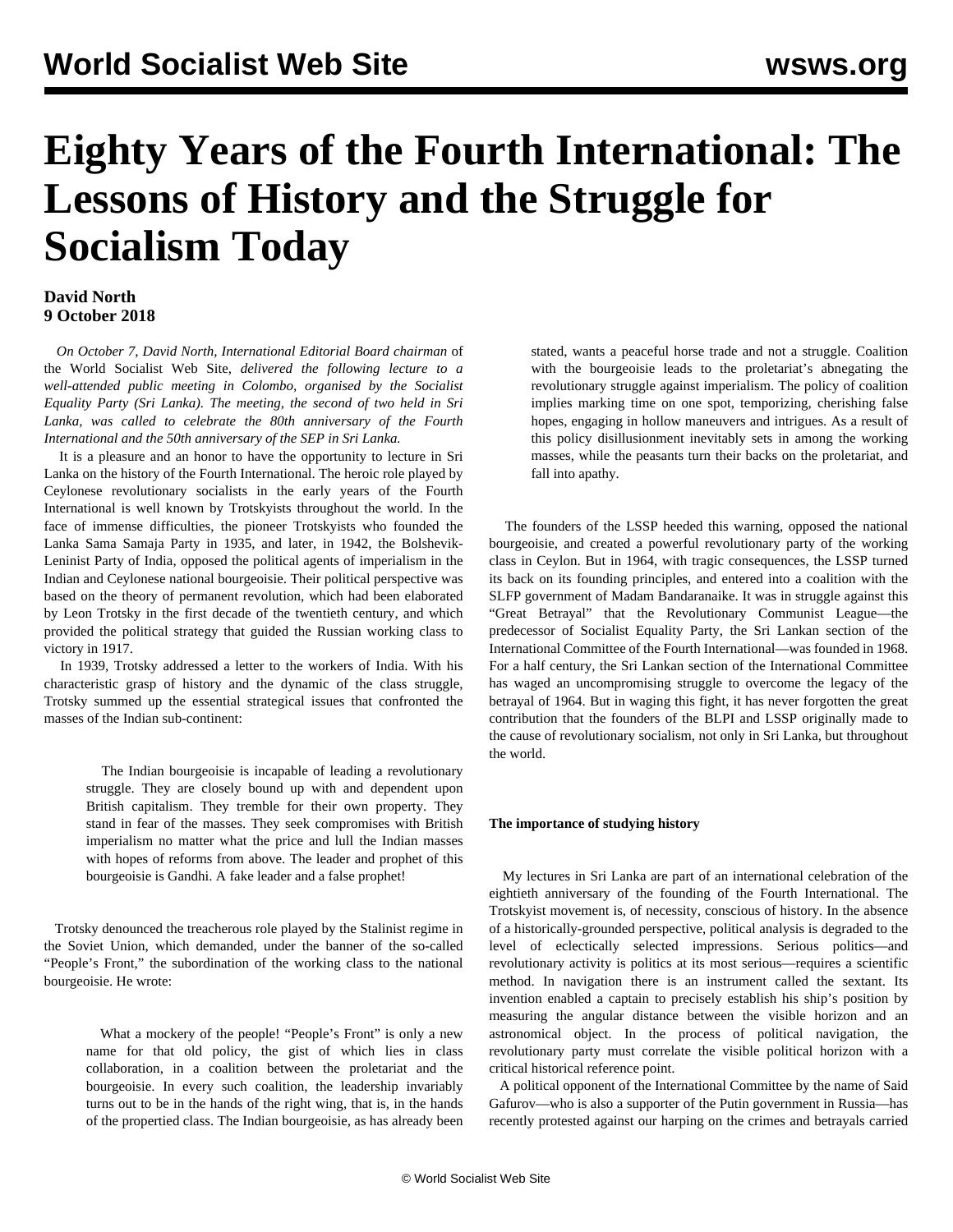# **Eighty Years of the Fourth International: The Lessons of History and the Struggle for Socialism Today**

# **David North 9 October 2018**

 *On October 7, David North, International Editorial Board chairman* of the World Socialist Web Site, *delivered the following lecture to a well-attended public meeting in Colombo, organised by the Socialist Equality Party (Sri Lanka). The meeting, the second of two held in Sri Lanka, was called to celebrate the 80th anniversary of the Fourth International and the 50th anniversary of the SEP in Sri Lanka.*

 It is a pleasure and an honor to have the opportunity to lecture in Sri Lanka on the history of the Fourth International. The heroic role played by Ceylonese revolutionary socialists in the early years of the Fourth International is well known by Trotskyists throughout the world. In the face of immense difficulties, the pioneer Trotskyists who founded the Lanka Sama Samaja Party in 1935, and later, in 1942, the Bolshevik-Leninist Party of India, opposed the political agents of imperialism in the Indian and Ceylonese national bourgeoisie. Their political perspective was based on the theory of permanent revolution, which had been elaborated by Leon Trotsky in the first decade of the twentieth century, and which provided the political strategy that guided the Russian working class to victory in 1917.

 In 1939, Trotsky addressed a letter to the workers of India. With his characteristic grasp of history and the dynamic of the class struggle, Trotsky summed up the essential strategical issues that confronted the masses of the Indian sub-continent:

 The Indian bourgeoisie is incapable of leading a revolutionary struggle. They are closely bound up with and dependent upon British capitalism. They tremble for their own property. They stand in fear of the masses. They seek compromises with British imperialism no matter what the price and lull the Indian masses with hopes of reforms from above. The leader and prophet of this bourgeoisie is Gandhi. A fake leader and a false prophet!

 Trotsky denounced the treacherous role played by the Stalinist regime in the Soviet Union, which demanded, under the banner of the so-called "People's Front," the subordination of the working class to the national bourgeoisie. He wrote:

 What a mockery of the people! "People's Front" is only a new name for that old policy, the gist of which lies in class collaboration, in a coalition between the proletariat and the bourgeoisie. In every such coalition, the leadership invariably turns out to be in the hands of the right wing, that is, in the hands of the propertied class. The Indian bourgeoisie, as has already been stated, wants a peaceful horse trade and not a struggle. Coalition with the bourgeoisie leads to the proletariat's abnegating the revolutionary struggle against imperialism. The policy of coalition implies marking time on one spot, temporizing, cherishing false hopes, engaging in hollow maneuvers and intrigues. As a result of this policy disillusionment inevitably sets in among the working masses, while the peasants turn their backs on the proletariat, and fall into apathy.

 The founders of the LSSP heeded this warning, opposed the national bourgeoisie, and created a powerful revolutionary party of the working class in Ceylon. But in 1964, with tragic consequences, the LSSP turned its back on its founding principles, and entered into a coalition with the SLFP government of Madam Bandaranaike. It was in struggle against this "Great Betrayal" that the Revolutionary Communist League—the predecessor of Socialist Equality Party, the Sri Lankan section of the International Committee of the Fourth International—was founded in 1968. For a half century, the Sri Lankan section of the International Committee has waged an uncompromising struggle to overcome the legacy of the betrayal of 1964. But in waging this fight, it has never forgotten the great contribution that the founders of the BLPI and LSSP originally made to the cause of revolutionary socialism, not only in Sri Lanka, but throughout the world.

# **The importance of studying history**

 My lectures in Sri Lanka are part of an international celebration of the eightieth anniversary of the founding of the Fourth International. The Trotskyist movement is, of necessity, conscious of history. In the absence of a historically-grounded perspective, political analysis is degraded to the level of eclectically selected impressions. Serious politics—and revolutionary activity is politics at its most serious—requires a scientific method. In navigation there is an instrument called the sextant. Its invention enabled a captain to precisely establish his ship's position by measuring the angular distance between the visible horizon and an astronomical object. In the process of political navigation, the revolutionary party must correlate the visible political horizon with a critical historical reference point.

 A political opponent of the International Committee by the name of Said Gafurov—who is also a supporter of the Putin government in Russia—has recently protested against our harping on the crimes and betrayals carried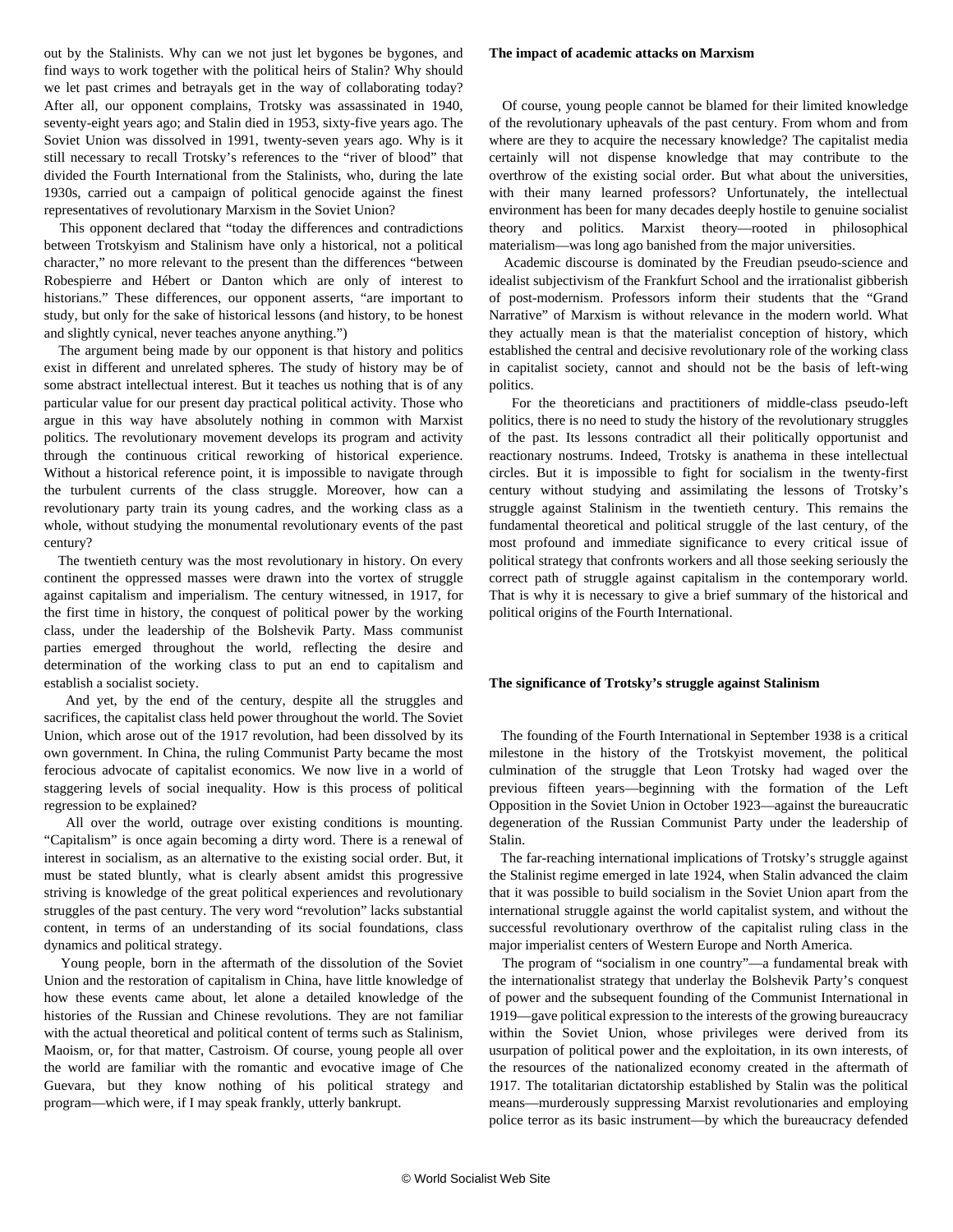out by the Stalinists. Why can we not just let bygones be bygones, and find ways to work together with the political heirs of Stalin? Why should we let past crimes and betrayals get in the way of collaborating today? After all, our opponent complains, Trotsky was assassinated in 1940, seventy-eight years ago; and Stalin died in 1953, sixty-five years ago. The Soviet Union was dissolved in 1991, twenty-seven years ago. Why is it still necessary to recall Trotsky's references to the "river of blood" that divided the Fourth International from the Stalinists, who, during the late 1930s, carried out a campaign of political genocide against the finest representatives of revolutionary Marxism in the Soviet Union?

 This opponent declared that "today the differences and contradictions between Trotskyism and Stalinism have only a historical, not a political character," no more relevant to the present than the differences "between Robespierre and Hébert or Danton which are only of interest to historians." These differences, our opponent asserts, "are important to study, but only for the sake of historical lessons (and history, to be honest and slightly cynical, never teaches anyone anything.")

 The argument being made by our opponent is that history and politics exist in different and unrelated spheres. The study of history may be of some abstract intellectual interest. But it teaches us nothing that is of any particular value for our present day practical political activity. Those who argue in this way have absolutely nothing in common with Marxist politics. The revolutionary movement develops its program and activity through the continuous critical reworking of historical experience. Without a historical reference point, it is impossible to navigate through the turbulent currents of the class struggle. Moreover, how can a revolutionary party train its young cadres, and the working class as a whole, without studying the monumental revolutionary events of the past century?

 The twentieth century was the most revolutionary in history. On every continent the oppressed masses were drawn into the vortex of struggle against capitalism and imperialism. The century witnessed, in 1917, for the first time in history, the conquest of political power by the working class, under the leadership of the Bolshevik Party. Mass communist parties emerged throughout the world, reflecting the desire and determination of the working class to put an end to capitalism and establish a socialist society.

 And yet, by the end of the century, despite all the struggles and sacrifices, the capitalist class held power throughout the world. The Soviet Union, which arose out of the 1917 revolution, had been dissolved by its own government. In China, the ruling Communist Party became the most ferocious advocate of capitalist economics. We now live in a world of staggering levels of social inequality. How is this process of political regression to be explained?

 All over the world, outrage over existing conditions is mounting. "Capitalism" is once again becoming a dirty word. There is a renewal of interest in socialism, as an alternative to the existing social order. But, it must be stated bluntly, what is clearly absent amidst this progressive striving is knowledge of the great political experiences and revolutionary struggles of the past century. The very word "revolution" lacks substantial content, in terms of an understanding of its social foundations, class dynamics and political strategy.

 Young people, born in the aftermath of the dissolution of the Soviet Union and the restoration of capitalism in China, have little knowledge of how these events came about, let alone a detailed knowledge of the histories of the Russian and Chinese revolutions. They are not familiar with the actual theoretical and political content of terms such as Stalinism, Maoism, or, for that matter, Castroism. Of course, young people all over the world are familiar with the romantic and evocative image of Che Guevara, but they know nothing of his political strategy and program—which were, if I may speak frankly, utterly bankrupt.

## **The impact of academic attacks on Marxism**

 Of course, young people cannot be blamed for their limited knowledge of the revolutionary upheavals of the past century. From whom and from where are they to acquire the necessary knowledge? The capitalist media certainly will not dispense knowledge that may contribute to the overthrow of the existing social order. But what about the universities, with their many learned professors? Unfortunately, the intellectual environment has been for many decades deeply hostile to genuine socialist theory and politics. Marxist theory—rooted in philosophical materialism—was long ago banished from the major universities.

 Academic discourse is dominated by the Freudian pseudo-science and idealist subjectivism of the Frankfurt School and the irrationalist gibberish of post-modernism. Professors inform their students that the "Grand Narrative" of Marxism is without relevance in the modern world. What they actually mean is that the materialist conception of history, which established the central and decisive revolutionary role of the working class in capitalist society, cannot and should not be the basis of left-wing politics.

 For the theoreticians and practitioners of middle-class pseudo-left politics, there is no need to study the history of the revolutionary struggles of the past. Its lessons contradict all their politically opportunist and reactionary nostrums. Indeed, Trotsky is anathema in these intellectual circles. But it is impossible to fight for socialism in the twenty-first century without studying and assimilating the lessons of Trotsky's struggle against Stalinism in the twentieth century. This remains the fundamental theoretical and political struggle of the last century, of the most profound and immediate significance to every critical issue of political strategy that confronts workers and all those seeking seriously the correct path of struggle against capitalism in the contemporary world. That is why it is necessary to give a brief summary of the historical and political origins of the Fourth International.

#### **The significance of Trotsky's struggle against Stalinism**

 The founding of the Fourth International in September 1938 is a critical milestone in the history of the Trotskyist movement, the political culmination of the struggle that Leon Trotsky had waged over the previous fifteen years—beginning with the formation of the Left Opposition in the Soviet Union in October 1923—against the bureaucratic degeneration of the Russian Communist Party under the leadership of Stalin.

 The far-reaching international implications of Trotsky's struggle against the Stalinist regime emerged in late 1924, when Stalin advanced the claim that it was possible to build socialism in the Soviet Union apart from the international struggle against the world capitalist system, and without the successful revolutionary overthrow of the capitalist ruling class in the major imperialist centers of Western Europe and North America.

 The program of "socialism in one country"—a fundamental break with the internationalist strategy that underlay the Bolshevik Party's conquest of power and the subsequent founding of the Communist International in 1919—gave political expression to the interests of the growing bureaucracy within the Soviet Union, whose privileges were derived from its usurpation of political power and the exploitation, in its own interests, of the resources of the nationalized economy created in the aftermath of 1917. The totalitarian dictatorship established by Stalin was the political means—murderously suppressing Marxist revolutionaries and employing police terror as its basic instrument—by which the bureaucracy defended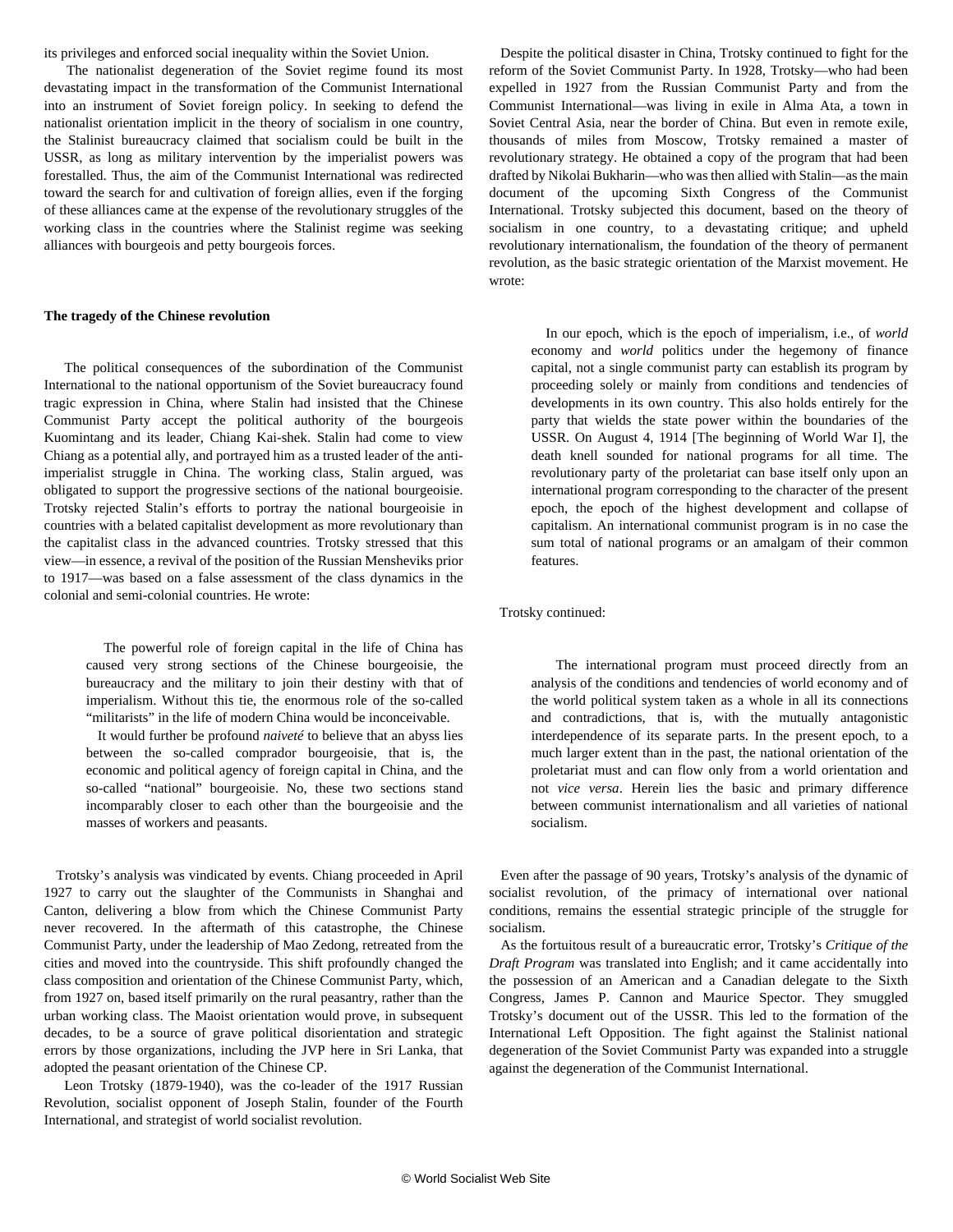its privileges and enforced social inequality within the Soviet Union.

 The nationalist degeneration of the Soviet regime found its most devastating impact in the transformation of the Communist International into an instrument of Soviet foreign policy. In seeking to defend the nationalist orientation implicit in the theory of socialism in one country, the Stalinist bureaucracy claimed that socialism could be built in the USSR, as long as military intervention by the imperialist powers was forestalled. Thus, the aim of the Communist International was redirected toward the search for and cultivation of foreign allies, even if the forging of these alliances came at the expense of the revolutionary struggles of the working class in the countries where the Stalinist regime was seeking alliances with bourgeois and petty bourgeois forces.

## **The tragedy of the Chinese revolution**

 The political consequences of the subordination of the Communist International to the national opportunism of the Soviet bureaucracy found tragic expression in China, where Stalin had insisted that the Chinese Communist Party accept the political authority of the bourgeois Kuomintang and its leader, Chiang Kai-shek. Stalin had come to view Chiang as a potential ally, and portrayed him as a trusted leader of the antiimperialist struggle in China. The working class, Stalin argued, was obligated to support the progressive sections of the national bourgeoisie. Trotsky rejected Stalin's efforts to portray the national bourgeoisie in countries with a belated capitalist development as more revolutionary than the capitalist class in the advanced countries. Trotsky stressed that this view—in essence, a revival of the position of the Russian Mensheviks prior to 1917—was based on a false assessment of the class dynamics in the colonial and semi-colonial countries. He wrote:

 The powerful role of foreign capital in the life of China has caused very strong sections of the Chinese bourgeoisie, the bureaucracy and the military to join their destiny with that of imperialism. Without this tie, the enormous role of the so-called "militarists" in the life of modern China would be inconceivable.

 It would further be profound *naiveté* to believe that an abyss lies between the so-called comprador bourgeoisie, that is, the economic and political agency of foreign capital in China, and the so-called "national" bourgeoisie. No, these two sections stand incomparably closer to each other than the bourgeoisie and the masses of workers and peasants.

 Trotsky's analysis was vindicated by events. Chiang proceeded in April 1927 to carry out the slaughter of the Communists in Shanghai and Canton, delivering a blow from which the Chinese Communist Party never recovered. In the aftermath of this catastrophe, the Chinese Communist Party, under the leadership of Mao Zedong, retreated from the cities and moved into the countryside. This shift profoundly changed the class composition and orientation of the Chinese Communist Party, which, from 1927 on, based itself primarily on the rural peasantry, rather than the urban working class. The Maoist orientation would prove, in subsequent decades, to be a source of grave political disorientation and strategic errors by those organizations, including the JVP here in Sri Lanka, that adopted the peasant orientation of the Chinese CP.

 Leon Trotsky (1879-1940), was the co-leader of the 1917 Russian Revolution, socialist opponent of Joseph Stalin, founder of the Fourth International, and strategist of world socialist revolution.

 Despite the political disaster in China, Trotsky continued to fight for the reform of the Soviet Communist Party. In 1928, Trotsky—who had been expelled in 1927 from the Russian Communist Party and from the Communist International—was living in exile in Alma Ata, a town in Soviet Central Asia, near the border of China. But even in remote exile, thousands of miles from Moscow, Trotsky remained a master of revolutionary strategy. He obtained a copy of the program that had been drafted by Nikolai Bukharin—who was then allied with Stalin—as the main document of the upcoming Sixth Congress of the Communist International. Trotsky subjected this document, based on the theory of socialism in one country, to a devastating critique; and upheld revolutionary internationalism, the foundation of the theory of permanent revolution, as the basic strategic orientation of the Marxist movement. He wrote:

 In our epoch, which is the epoch of imperialism, i.e., of *world* economy and *world* politics under the hegemony of finance capital, not a single communist party can establish its program by proceeding solely or mainly from conditions and tendencies of developments in its own country. This also holds entirely for the party that wields the state power within the boundaries of the USSR. On August 4, 1914 [The beginning of World War I], the death knell sounded for national programs for all time. The revolutionary party of the proletariat can base itself only upon an international program corresponding to the character of the present epoch, the epoch of the highest development and collapse of capitalism. An international communist program is in no case the sum total of national programs or an amalgam of their common features.

# Trotsky continued:

 The international program must proceed directly from an analysis of the conditions and tendencies of world economy and of the world political system taken as a whole in all its connections and contradictions, that is, with the mutually antagonistic interdependence of its separate parts. In the present epoch, to a much larger extent than in the past, the national orientation of the proletariat must and can flow only from a world orientation and not *vice versa*. Herein lies the basic and primary difference between communist internationalism and all varieties of national socialism.

 Even after the passage of 90 years, Trotsky's analysis of the dynamic of socialist revolution, of the primacy of international over national conditions, remains the essential strategic principle of the struggle for socialism.

 As the fortuitous result of a bureaucratic error, Trotsky's *Critique of the Draft Program* was translated into English; and it came accidentally into the possession of an American and a Canadian delegate to the Sixth Congress, James P. Cannon and Maurice Spector. They smuggled Trotsky's document out of the USSR. This led to the formation of the International Left Opposition. The fight against the Stalinist national degeneration of the Soviet Communist Party was expanded into a struggle against the degeneration of the Communist International.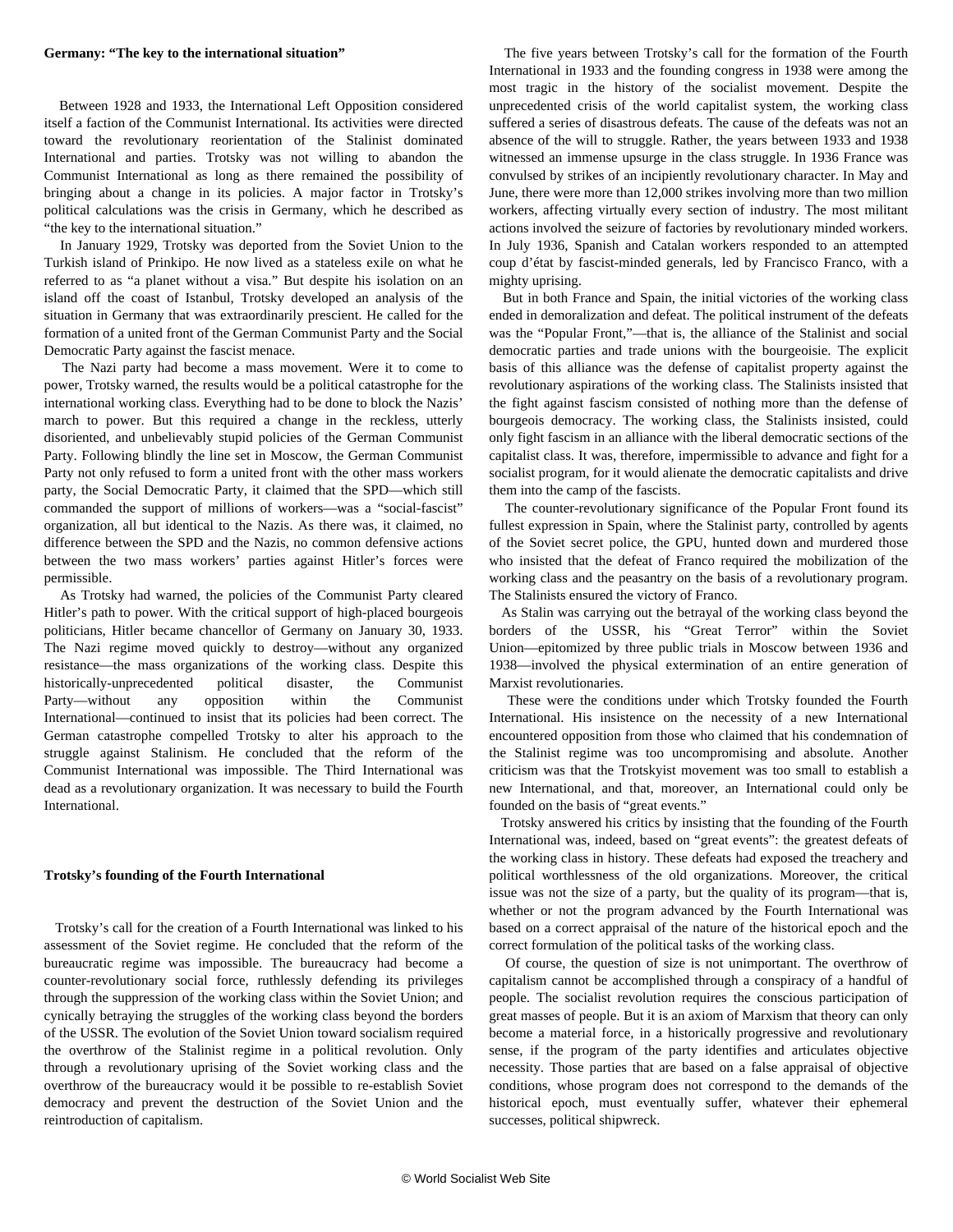#### **Germany: "The key to the international situation"**

 Between 1928 and 1933, the International Left Opposition considered itself a faction of the Communist International. Its activities were directed toward the revolutionary reorientation of the Stalinist dominated International and parties. Trotsky was not willing to abandon the Communist International as long as there remained the possibility of bringing about a change in its policies. A major factor in Trotsky's political calculations was the crisis in Germany, which he described as "the key to the international situation."

 In January 1929, Trotsky was deported from the Soviet Union to the Turkish island of Prinkipo. He now lived as a stateless exile on what he referred to as "a planet without a visa." But despite his isolation on an island off the coast of Istanbul, Trotsky developed an analysis of the situation in Germany that was extraordinarily prescient. He called for the formation of a united front of the German Communist Party and the Social Democratic Party against the fascist menace.

 The Nazi party had become a mass movement. Were it to come to power, Trotsky warned, the results would be a political catastrophe for the international working class. Everything had to be done to block the Nazis' march to power. But this required a change in the reckless, utterly disoriented, and unbelievably stupid policies of the German Communist Party. Following blindly the line set in Moscow, the German Communist Party not only refused to form a united front with the other mass workers party, the Social Democratic Party, it claimed that the SPD—which still commanded the support of millions of workers—was a "social-fascist" organization, all but identical to the Nazis. As there was, it claimed, no difference between the SPD and the Nazis, no common defensive actions between the two mass workers' parties against Hitler's forces were permissible.

 As Trotsky had warned, the policies of the Communist Party cleared Hitler's path to power. With the critical support of high-placed bourgeois politicians, Hitler became chancellor of Germany on January 30, 1933. The Nazi regime moved quickly to destroy—without any organized resistance—the mass organizations of the working class. Despite this historically-unprecedented political disaster, the Communist Party—without any opposition within the Communist International—continued to insist that its policies had been correct. The German catastrophe compelled Trotsky to alter his approach to the struggle against Stalinism. He concluded that the reform of the Communist International was impossible. The Third International was dead as a revolutionary organization. It was necessary to build the Fourth International.

## **Trotsky's founding of the Fourth International**

 Trotsky's call for the creation of a Fourth International was linked to his assessment of the Soviet regime. He concluded that the reform of the bureaucratic regime was impossible. The bureaucracy had become a counter-revolutionary social force, ruthlessly defending its privileges through the suppression of the working class within the Soviet Union; and cynically betraying the struggles of the working class beyond the borders of the USSR. The evolution of the Soviet Union toward socialism required the overthrow of the Stalinist regime in a political revolution. Only through a revolutionary uprising of the Soviet working class and the overthrow of the bureaucracy would it be possible to re-establish Soviet democracy and prevent the destruction of the Soviet Union and the reintroduction of capitalism.

 The five years between Trotsky's call for the formation of the Fourth International in 1933 and the founding congress in 1938 were among the most tragic in the history of the socialist movement. Despite the unprecedented crisis of the world capitalist system, the working class suffered a series of disastrous defeats. The cause of the defeats was not an absence of the will to struggle. Rather, the years between 1933 and 1938 witnessed an immense upsurge in the class struggle. In 1936 France was convulsed by strikes of an incipiently revolutionary character. In May and June, there were more than 12,000 strikes involving more than two million workers, affecting virtually every section of industry. The most militant actions involved the seizure of factories by revolutionary minded workers. In July 1936, Spanish and Catalan workers responded to an attempted coup d'état by fascist-minded generals, led by Francisco Franco, with a mighty uprising.

 But in both France and Spain, the initial victories of the working class ended in demoralization and defeat. The political instrument of the defeats was the "Popular Front,"—that is, the alliance of the Stalinist and social democratic parties and trade unions with the bourgeoisie. The explicit basis of this alliance was the defense of capitalist property against the revolutionary aspirations of the working class. The Stalinists insisted that the fight against fascism consisted of nothing more than the defense of bourgeois democracy. The working class, the Stalinists insisted, could only fight fascism in an alliance with the liberal democratic sections of the capitalist class. It was, therefore, impermissible to advance and fight for a socialist program, for it would alienate the democratic capitalists and drive them into the camp of the fascists.

 The counter-revolutionary significance of the Popular Front found its fullest expression in Spain, where the Stalinist party, controlled by agents of the Soviet secret police, the GPU, hunted down and murdered those who insisted that the defeat of Franco required the mobilization of the working class and the peasantry on the basis of a revolutionary program. The Stalinists ensured the victory of Franco.

 As Stalin was carrying out the betrayal of the working class beyond the borders of the USSR, his "Great Terror" within the Soviet Union—epitomized by three public trials in Moscow between 1936 and 1938—involved the physical extermination of an entire generation of Marxist revolutionaries.

 These were the conditions under which Trotsky founded the Fourth International. His insistence on the necessity of a new International encountered opposition from those who claimed that his condemnation of the Stalinist regime was too uncompromising and absolute. Another criticism was that the Trotskyist movement was too small to establish a new International, and that, moreover, an International could only be founded on the basis of "great events."

 Trotsky answered his critics by insisting that the founding of the Fourth International was, indeed, based on "great events": the greatest defeats of the working class in history. These defeats had exposed the treachery and political worthlessness of the old organizations. Moreover, the critical issue was not the size of a party, but the quality of its program—that is, whether or not the program advanced by the Fourth International was based on a correct appraisal of the nature of the historical epoch and the correct formulation of the political tasks of the working class.

 Of course, the question of size is not unimportant. The overthrow of capitalism cannot be accomplished through a conspiracy of a handful of people. The socialist revolution requires the conscious participation of great masses of people. But it is an axiom of Marxism that theory can only become a material force, in a historically progressive and revolutionary sense, if the program of the party identifies and articulates objective necessity. Those parties that are based on a false appraisal of objective conditions, whose program does not correspond to the demands of the historical epoch, must eventually suffer, whatever their ephemeral successes, political shipwreck.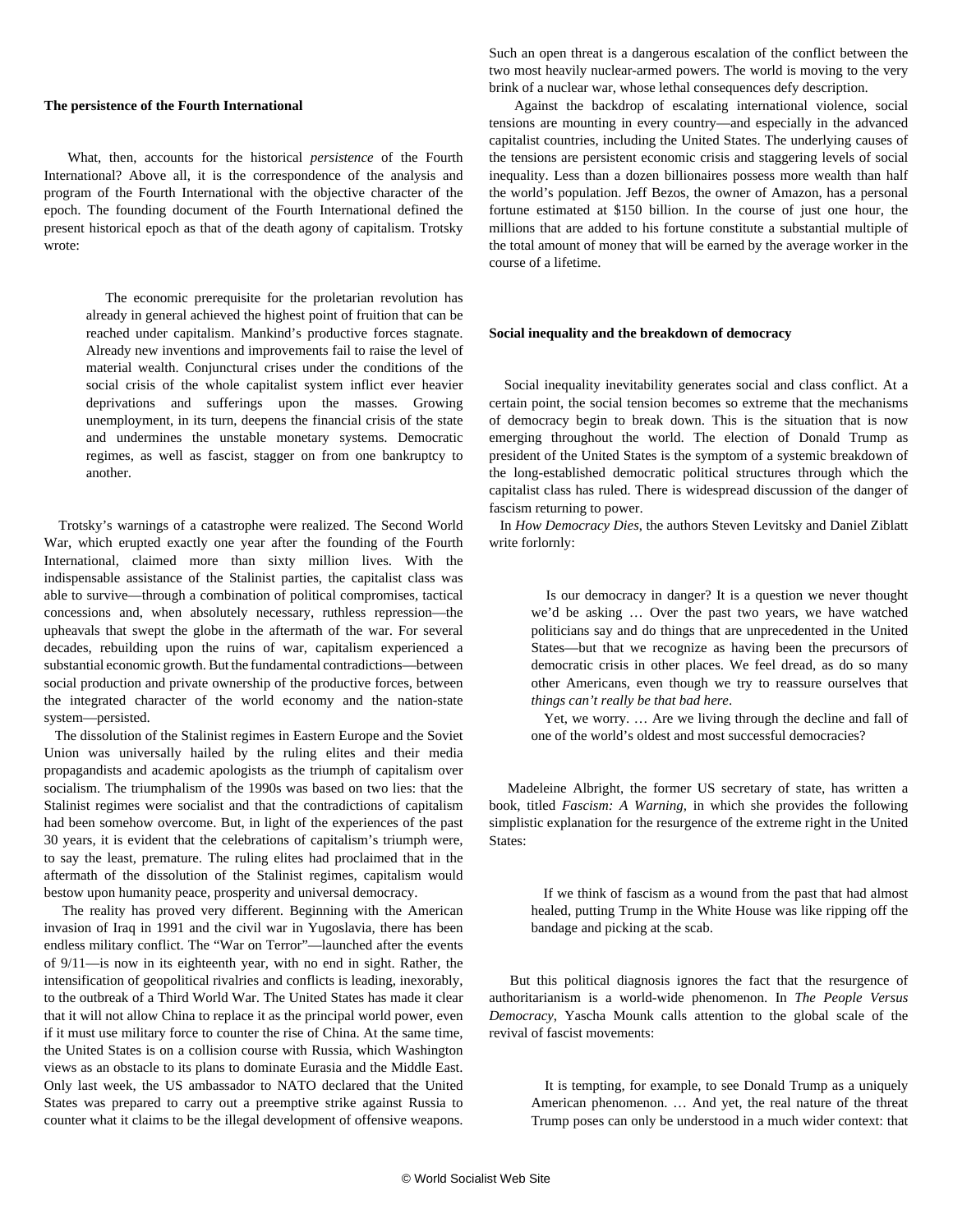# **The persistence of the Fourth International**

 What, then, accounts for the historical *persistence* of the Fourth International? Above all, it is the correspondence of the analysis and program of the Fourth International with the objective character of the epoch. The founding document of the Fourth International defined the present historical epoch as that of the death agony of capitalism. Trotsky wrote:

 The economic prerequisite for the proletarian revolution has already in general achieved the highest point of fruition that can be reached under capitalism. Mankind's productive forces stagnate. Already new inventions and improvements fail to raise the level of material wealth. Conjunctural crises under the conditions of the social crisis of the whole capitalist system inflict ever heavier deprivations and sufferings upon the masses. Growing unemployment, in its turn, deepens the financial crisis of the state and undermines the unstable monetary systems. Democratic regimes, as well as fascist, stagger on from one bankruptcy to another.

 Trotsky's warnings of a catastrophe were realized. The Second World War, which erupted exactly one year after the founding of the Fourth International, claimed more than sixty million lives. With the indispensable assistance of the Stalinist parties, the capitalist class was able to survive—through a combination of political compromises, tactical concessions and, when absolutely necessary, ruthless repression—the upheavals that swept the globe in the aftermath of the war. For several decades, rebuilding upon the ruins of war, capitalism experienced a substantial economic growth. But the fundamental contradictions—between social production and private ownership of the productive forces, between the integrated character of the world economy and the nation-state system—persisted.

 The dissolution of the Stalinist regimes in Eastern Europe and the Soviet Union was universally hailed by the ruling elites and their media propagandists and academic apologists as the triumph of capitalism over socialism. The triumphalism of the 1990s was based on two lies: that the Stalinist regimes were socialist and that the contradictions of capitalism had been somehow overcome. But, in light of the experiences of the past 30 years, it is evident that the celebrations of capitalism's triumph were, to say the least, premature. The ruling elites had proclaimed that in the aftermath of the dissolution of the Stalinist regimes, capitalism would bestow upon humanity peace, prosperity and universal democracy.

 The reality has proved very different. Beginning with the American invasion of Iraq in 1991 and the civil war in Yugoslavia, there has been endless military conflict. The "War on Terror"—launched after the events of 9/11—is now in its eighteenth year, with no end in sight. Rather, the intensification of geopolitical rivalries and conflicts is leading, inexorably, to the outbreak of a Third World War. The United States has made it clear that it will not allow China to replace it as the principal world power, even if it must use military force to counter the rise of China. At the same time, the United States is on a collision course with Russia, which Washington views as an obstacle to its plans to dominate Eurasia and the Middle East. Only last week, the US ambassador to NATO declared that the United States was prepared to carry out a preemptive strike against Russia to counter what it claims to be the illegal development of offensive weapons.

Such an open threat is a dangerous escalation of the conflict between the two most heavily nuclear-armed powers. The world is moving to the very brink of a nuclear war, whose lethal consequences defy description.

 Against the backdrop of escalating international violence, social tensions are mounting in every country—and especially in the advanced capitalist countries, including the United States. The underlying causes of the tensions are persistent economic crisis and staggering levels of social inequality. Less than a dozen billionaires possess more wealth than half the world's population. Jeff Bezos, the owner of Amazon, has a personal fortune estimated at \$150 billion. In the course of just one hour, the millions that are added to his fortune constitute a substantial multiple of the total amount of money that will be earned by the average worker in the course of a lifetime.

# **Social inequality and the breakdown of democracy**

 Social inequality inevitability generates social and class conflict. At a certain point, the social tension becomes so extreme that the mechanisms of democracy begin to break down. This is the situation that is now emerging throughout the world. The election of Donald Trump as president of the United States is the symptom of a systemic breakdown of the long-established democratic political structures through which the capitalist class has ruled. There is widespread discussion of the danger of fascism returning to power.

 In *How Democracy Dies*, the authors Steven Levitsky and Daniel Ziblatt write forlornly:

 Is our democracy in danger? It is a question we never thought we'd be asking … Over the past two years, we have watched politicians say and do things that are unprecedented in the United States—but that we recognize as having been the precursors of democratic crisis in other places. We feel dread, as do so many other Americans, even though we try to reassure ourselves that *things can't really be that bad here*.

 Yet, we worry. … Are we living through the decline and fall of one of the world's oldest and most successful democracies?

 Madeleine Albright, the former US secretary of state, has written a book, titled *Fascism: A Warning,* in which she provides the following simplistic explanation for the resurgence of the extreme right in the United States:

 If we think of fascism as a wound from the past that had almost healed, putting Trump in the White House was like ripping off the bandage and picking at the scab.

 But this political diagnosis ignores the fact that the resurgence of authoritarianism is a world-wide phenomenon. In *The People Versus Democracy*, Yascha Mounk calls attention to the global scale of the revival of fascist movements:

 It is tempting, for example, to see Donald Trump as a uniquely American phenomenon. … And yet, the real nature of the threat Trump poses can only be understood in a much wider context: that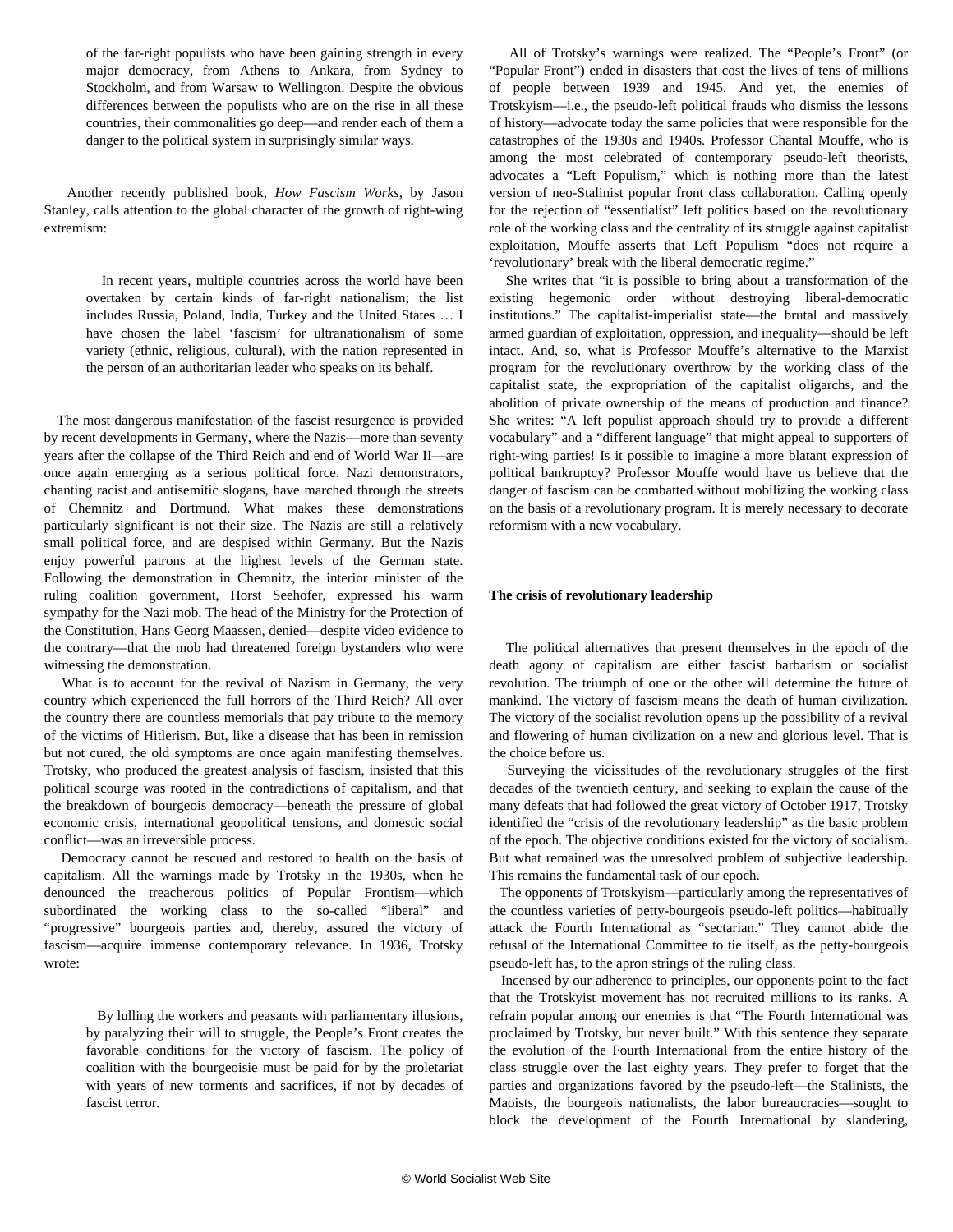of the far-right populists who have been gaining strength in every major democracy, from Athens to Ankara, from Sydney to Stockholm, and from Warsaw to Wellington. Despite the obvious differences between the populists who are on the rise in all these countries, their commonalities go deep—and render each of them a danger to the political system in surprisingly similar ways.

 Another recently published book, *How Fascism Works*, by Jason Stanley, calls attention to the global character of the growth of right-wing extremism:

> In recent years, multiple countries across the world have been overtaken by certain kinds of far-right nationalism; the list includes Russia, Poland, India, Turkey and the United States … I have chosen the label 'fascism' for ultranationalism of some variety (ethnic, religious, cultural), with the nation represented in the person of an authoritarian leader who speaks on its behalf.

 The most dangerous manifestation of the fascist resurgence is provided by recent developments in Germany, where the Nazis—more than seventy years after the collapse of the Third Reich and end of World War II—are once again emerging as a serious political force. Nazi demonstrators, chanting racist and antisemitic slogans, have marched through the streets of Chemnitz and Dortmund. What makes these demonstrations particularly significant is not their size. The Nazis are still a relatively small political force, and are despised within Germany. But the Nazis enjoy powerful patrons at the highest levels of the German state. Following the demonstration in Chemnitz, the interior minister of the ruling coalition government, Horst Seehofer, expressed his warm sympathy for the Nazi mob. The head of the Ministry for the Protection of the Constitution, Hans Georg Maassen, denied—despite video evidence to the contrary—that the mob had threatened foreign bystanders who were witnessing the demonstration.

 What is to account for the revival of Nazism in Germany, the very country which experienced the full horrors of the Third Reich? All over the country there are countless memorials that pay tribute to the memory of the victims of Hitlerism. But, like a disease that has been in remission but not cured, the old symptoms are once again manifesting themselves. Trotsky, who produced the greatest analysis of fascism, insisted that this political scourge was rooted in the contradictions of capitalism, and that the breakdown of bourgeois democracy—beneath the pressure of global economic crisis, international geopolitical tensions, and domestic social conflict—was an irreversible process.

 Democracy cannot be rescued and restored to health on the basis of capitalism. All the warnings made by Trotsky in the 1930s, when he denounced the treacherous politics of Popular Frontism—which subordinated the working class to the so-called "liberal" and "progressive" bourgeois parties and, thereby, assured the victory of fascism—acquire immense contemporary relevance. In 1936, Trotsky wrote:

 By lulling the workers and peasants with parliamentary illusions, by paralyzing their will to struggle, the People's Front creates the favorable conditions for the victory of fascism. The policy of coalition with the bourgeoisie must be paid for by the proletariat with years of new torments and sacrifices, if not by decades of fascist terror.

 All of Trotsky's warnings were realized. The "People's Front" (or "Popular Front") ended in disasters that cost the lives of tens of millions of people between 1939 and 1945. And yet, the enemies of Trotskyism—i.e., the pseudo-left political frauds who dismiss the lessons of history—advocate today the same policies that were responsible for the catastrophes of the 1930s and 1940s. Professor Chantal Mouffe, who is among the most celebrated of contemporary pseudo-left theorists, advocates a "Left Populism," which is nothing more than the latest version of neo-Stalinist popular front class collaboration. Calling openly for the rejection of "essentialist" left politics based on the revolutionary role of the working class and the centrality of its struggle against capitalist exploitation, Mouffe asserts that Left Populism "does not require a 'revolutionary' break with the liberal democratic regime."

 She writes that "it is possible to bring about a transformation of the existing hegemonic order without destroying liberal-democratic institutions." The capitalist-imperialist state—the brutal and massively armed guardian of exploitation, oppression, and inequality—should be left intact. And, so, what is Professor Mouffe's alternative to the Marxist program for the revolutionary overthrow by the working class of the capitalist state, the expropriation of the capitalist oligarchs, and the abolition of private ownership of the means of production and finance? She writes: "A left populist approach should try to provide a different vocabulary" and a "different language" that might appeal to supporters of right-wing parties! Is it possible to imagine a more blatant expression of political bankruptcy? Professor Mouffe would have us believe that the danger of fascism can be combatted without mobilizing the working class on the basis of a revolutionary program. It is merely necessary to decorate reformism with a new vocabulary.

# **The crisis of revolutionary leadership**

 The political alternatives that present themselves in the epoch of the death agony of capitalism are either fascist barbarism or socialist revolution. The triumph of one or the other will determine the future of mankind. The victory of fascism means the death of human civilization. The victory of the socialist revolution opens up the possibility of a revival and flowering of human civilization on a new and glorious level. That is the choice before us.

 Surveying the vicissitudes of the revolutionary struggles of the first decades of the twentieth century, and seeking to explain the cause of the many defeats that had followed the great victory of October 1917, Trotsky identified the "crisis of the revolutionary leadership" as the basic problem of the epoch. The objective conditions existed for the victory of socialism. But what remained was the unresolved problem of subjective leadership. This remains the fundamental task of our epoch.

 The opponents of Trotskyism—particularly among the representatives of the countless varieties of petty-bourgeois pseudo-left politics—habitually attack the Fourth International as "sectarian." They cannot abide the refusal of the International Committee to tie itself, as the petty-bourgeois pseudo-left has, to the apron strings of the ruling class.

 Incensed by our adherence to principles, our opponents point to the fact that the Trotskyist movement has not recruited millions to its ranks. A refrain popular among our enemies is that "The Fourth International was proclaimed by Trotsky, but never built." With this sentence they separate the evolution of the Fourth International from the entire history of the class struggle over the last eighty years. They prefer to forget that the parties and organizations favored by the pseudo-left—the Stalinists, the Maoists, the bourgeois nationalists, the labor bureaucracies—sought to block the development of the Fourth International by slandering,